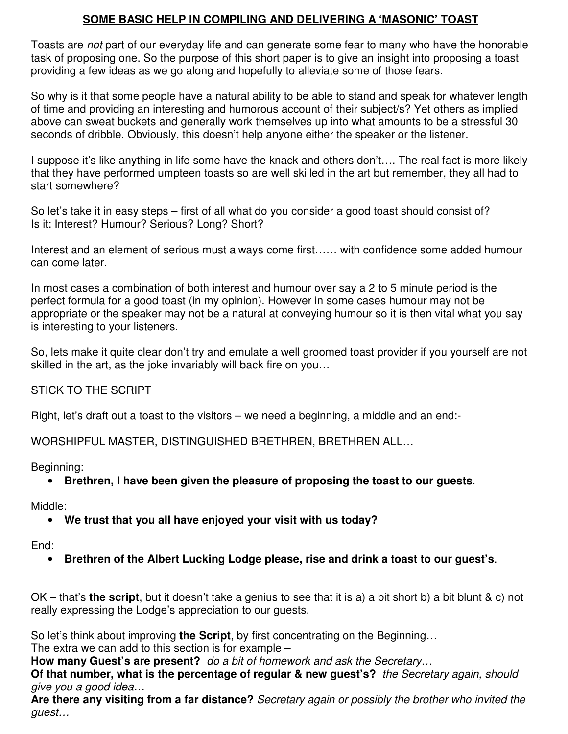# **SOME BASIC HELP IN COMPILING AND DELIVERING A 'MASONIC' TOAST**

Toasts are *not* part of our everyday life and can generate some fear to many who have the honorable task of proposing one. So the purpose of this short paper is to give an insight into proposing a toast providing a few ideas as we go along and hopefully to alleviate some of those fears.

So why is it that some people have a natural ability to be able to stand and speak for whatever length of time and providing an interesting and humorous account of their subject/s? Yet others as implied above can sweat buckets and generally work themselves up into what amounts to be a stressful 30 seconds of dribble. Obviously, this doesn't help anyone either the speaker or the listener.

I suppose it's like anything in life some have the knack and others don't…. The real fact is more likely that they have performed umpteen toasts so are well skilled in the art but remember, they all had to start somewhere?

So let's take it in easy steps – first of all what do you consider a good toast should consist of? Is it: Interest? Humour? Serious? Long? Short?

Interest and an element of serious must always come first…… with confidence some added humour can come later.

In most cases a combination of both interest and humour over say a 2 to 5 minute period is the perfect formula for a good toast (in my opinion). However in some cases humour may not be appropriate or the speaker may not be a natural at conveying humour so it is then vital what you say is interesting to your listeners.

So, lets make it quite clear don't try and emulate a well groomed toast provider if you yourself are not skilled in the art, as the joke invariably will back fire on you…

## STICK TO THE SCRIPT

Right, let's draft out a toast to the visitors – we need a beginning, a middle and an end:-

WORSHIPFUL MASTER, DISTINGUISHED BRETHREN, BRETHREN ALL…

Beginning:

• **Brethren, I have been given the pleasure of proposing the toast to our guests**.

Middle:

• **We trust that you all have enjoyed your visit with us today?**

End:

• **Brethren of the Albert Lucking Lodge please, rise and drink a toast to our guest's**.

OK – that's **the script**, but it doesn't take a genius to see that it is a) a bit short b) a bit blunt & c) not really expressing the Lodge's appreciation to our guests.

So let's think about improving **the Script**, by first concentrating on the Beginning…

The extra we can add to this section is for example –

**How many Guest's are present?** *do a bit of homework and ask the Secretary…*

**Of that number, what is the percentage of regular & new guest's?** *the Secretary again, should give you a good idea…*

**Are there any visiting from a far distance?** *Secretary again or possibly the brother who invited the guest…*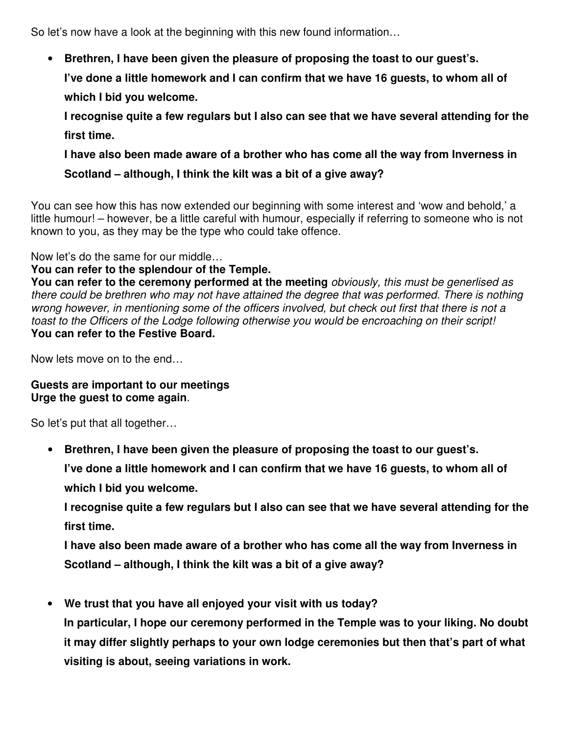So let's now have a look at the beginning with this new found information…

• **Brethren, I have been given the pleasure of proposing the toast to our guest's.**

**I've done a little homework and I can confirm that we have 16 guests, to whom all of which I bid you welcome.**

**I recognise quite a few regulars but I also can see that we have several attending for the first time.**

**I have also been made aware of a brother who has come all the way from Inverness in Scotland – although, I think the kilt was a bit of a give away?**

You can see how this has now extended our beginning with some interest and 'wow and behold,' a little humour! – however, be a little careful with humour, especially if referring to someone who is not known to you, as they may be the type who could take offence.

Now let's do the same for our middle…

### **You can refer to the splendour of the Temple.**

**You can refer to the ceremony performed at the meeting** *obviously, this must be generlised as there could be brethren who may not have attained the degree that was performed. There is nothing* wrong however, in mentioning some of the officers involved, but check out first that there is not a *toast to the Officers of the Lodge following otherwise you would be encroaching on their script!* **You can refer to the Festive Board.**

Now lets move on to the end…

#### **Guests are important to our meetings Urge the guest to come again**.

So let's put that all together…

• **Brethren, I have been given the pleasure of proposing the toast to our guest's.**

**I've done a little homework and I can confirm that we have 16 guests, to whom all of**

**which I bid you welcome.**

**I recognise quite a few regulars but I also can see that we have several attending for the first time.**

**I have also been made aware of a brother who has come all the way from Inverness in Scotland – although, I think the kilt was a bit of a give away?**

• **We trust that you have all enjoyed your visit with us today?**

**In particular, I hope our ceremony performed in the Temple was to your liking. No doubt it may differ slightly perhaps to your own lodge ceremonies but then that's part of what visiting is about, seeing variations in work.**